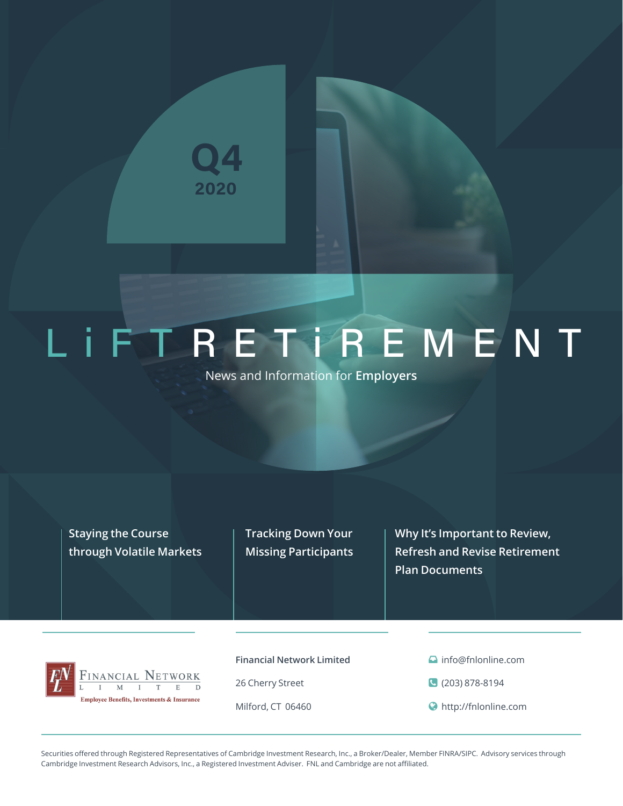

# LIFTRETFREMENT

News and Information for **Employers**

**Staying the Course through Volatile Markets** **Tracking Down Your Missing Participants**

**Why It's Important to Review, Refresh and Revise Retirement Plan Documents**



**Financial Network Limited**

26 Cherry Street

Milford, CT 06460

- **a** info@fnlonline.com
- (203) 878-8194
- http://fnlonline.com

Securities offered through Registered Representatives of Cambridge Investment Research, Inc., a Broker/Dealer, Member FINRA/SIPC. Advisory services through Cambridge Investment Research Advisors, Inc., a Registered Investment Adviser. FNL and Cambridge are not affiliated.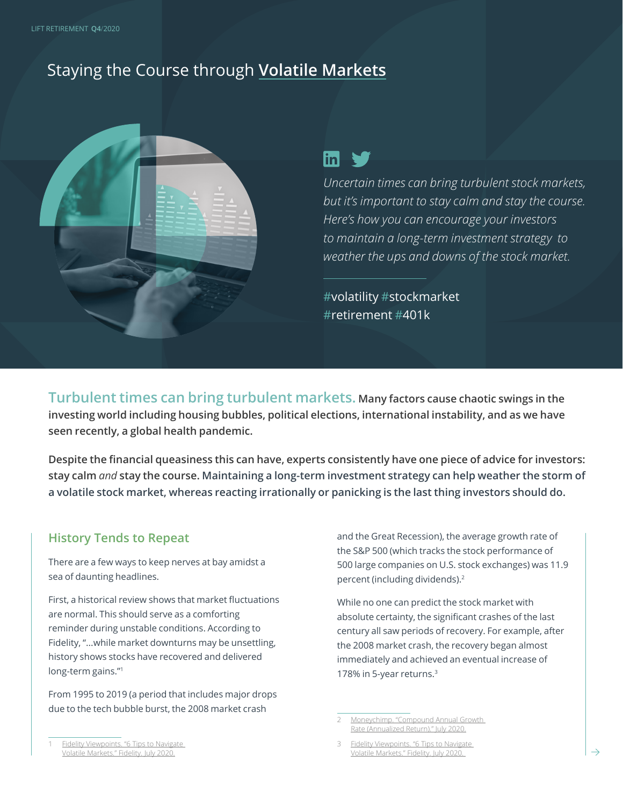# Staying the Course through **Volatile Markets**



# $\overline{\ln}$   $\blacktriangleright$

*Uncertain times can bring turbulent stock markets, but it's important to stay calm and stay the course. Here's how you can encourage your investors to maintain a long-term investment strategy to weather the ups and downs of the stock market.* 

#volatility #stockmarket #retirement #401k

**Turbulent times can bring turbulent markets. Many factors cause chaotic swings in the investing world including housing bubbles, political elections, international instability, and as we have seen recently, a global health pandemic.**

**Despite the financial queasiness this can have, experts consistently have one piece of advice for investors: stay calm** *and* **stay the course. Maintaining a long-term investment strategy can help weather the storm of a volatile stock market, whereas reacting irrationally or panicking is the last thing investors should do.** 

#### **History Tends to Repeat**

There are a few ways to keep nerves at bay amidst a sea of daunting headlines.

First, a historical review shows that market fluctuations are normal. This should serve as a comforting reminder during unstable conditions. According to Fidelity, "...while market downturns may be unsettling, history shows stocks have recovered and delivered long-term gains."1

From 1995 to 2019 (a period that includes major drops due to the tech bubble burst, the 2008 market crash

and the Great Recession), the average growth rate of the S&P 500 (which tracks the stock performance of 500 large companies on U.S. stock exchanges) was 11.9 percent (including dividends).<sup>2</sup>

While no one can predict the stock market with absolute certainty, the significant crashes of the last century all saw periods of recovery. For example, after the 2008 market crash, the recovery began almost immediately and achieved an eventual increase of 178% in 5-year returns.3

Moneychimp. "Compound Annual Growth [Rate \(Annualized Return\)." July 2020.](http://www.moneychimp.com/features/market_cagr.htm)

Fidelity Viewpoints. "6 Tips to Navigate [Volatile Markets." Fidelity. July 2020.](https://www.fidelity.com/viewpoints/investing-ideas/strategies-for-volatile-markets)

Fidelity Viewpoints. "6 Tips to Navigate [Volatile Markets." Fidelity. July 2020.](https://www.fidelity.com/viewpoints/investing-ideas/strategies-for-volatile-markets)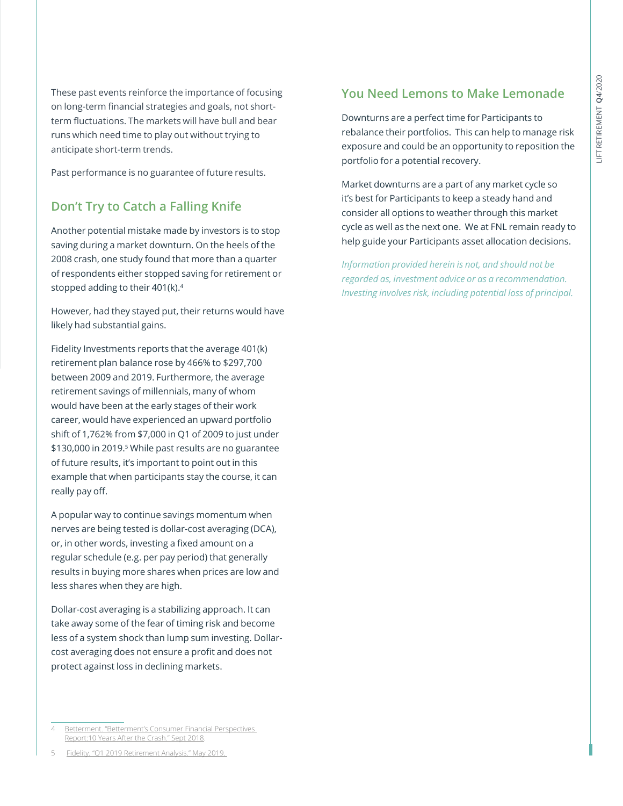These past events reinforce the importance of focusing on long-term financial strategies and goals, not shortterm fluctuations. The markets will have bull and bear runs which need time to play out without trying to anticipate short-term trends.

Past performance is no guarantee of future results.

#### **Don't Try to Catch a Falling Knife**

Another potential mistake made by investors is to stop saving during a market downturn. On the heels of the 2008 crash, one study found that more than a quarter of respondents either stopped saving for retirement or stopped adding to their 401(k).4

However, had they stayed put, their returns would have likely had substantial gains.

Fidelity Investments reports that the average 401(k) retirement plan balance rose by 466% to \$297,700 between 2009 and 2019. Furthermore, the average retirement savings of millennials, many of whom would have been at the early stages of their work career, would have experienced an upward portfolio shift of 1,762% from \$7,000 in Q1 of 2009 to just under \$130,000 in 2019.<sup>5</sup> While past results are no guarantee of future results, it's important to point out in this example that when participants stay the course, it can really pay off.

A popular way to continue savings momentum when nerves are being tested is dollar-cost averaging (DCA), or, in other words, investing a fixed amount on a regular schedule (e.g. per pay period) that generally results in buying more shares when prices are low and less shares when they are high.

Dollar-cost averaging is a stabilizing approach. It can take away some of the fear of timing risk and become less of a system shock than lump sum investing. Dollarcost averaging does not ensure a profit and does not protect against loss in declining markets.

**You Need Lemons to Make Lemonade** 

Downturns are a perfect time for Participants to rebalance their portfolios. This can help to manage risk exposure and could be an opportunity to reposition the portfolio for a potential recovery.

Market downturns are a part of any market cycle so it's best for Participants to keep a steady hand and consider all options to weather through this market cycle as well as the next one. We at FNL remain ready to help guide your Participants asset allocation decisions.

*Information provided herein is not, and should not be regarded as, investment advice or as a recommendation. Investing involves risk, including potential loss of principal.*

<sup>4</sup> [Betterment. "Betterment's Consumer Financial Perspectives](https://www.betterment.com/uploads/2018/09/Betterment-Consumer-Financial-Perspectives-Report.pdf)  [Report:10 Years After the Crash." Sept 2018.](https://www.betterment.com/uploads/2018/09/Betterment-Consumer-Financial-Perspectives-Report.pdf)

<sup>5</sup> [Fidelity. "Q1 2019 Retirement Analysis." May 2019.](file://C:\Users\missy\Dropbox%20(401(k)%20Marketing)\401(k)%20RPM\2020%20RPM%20Quarterly%20Documents\Q4%202020\1.%20Team%20Drafts%20+%20Peer%20Edits\Blog%20Article%20-%20Staying%20the%20Course%20Through%20Volatile%20Markets\Drafts\.%20https:\www.fidelity.com\bin-public\060_www_fidelity_com\documents\press-release\quarterly-retirement-trends-050919.pdf)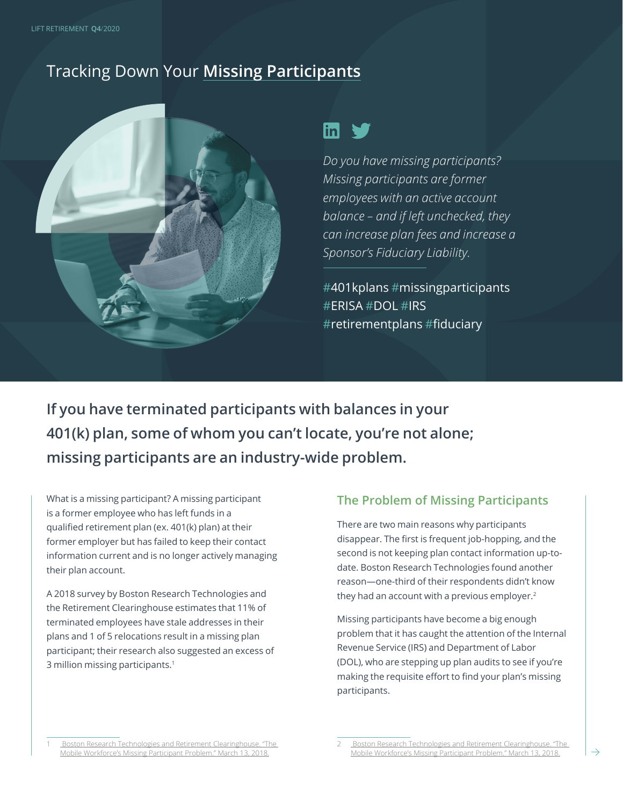# Tracking Down Your **Missing Participants**



## $\mathsf{lin}$

*Do you have missing participants? Missing participants are former employees with an active account balance – and if left unchecked, they can increase plan fees and increase a Sponsor's Fiduciary Liability.* 

#401kplans #missingparticipants #ERISA #DOL #IRS #retirementplans #fiduciary

**If you have terminated participants with balances in your 401(k) plan, some of whom you can't locate, you're not alone; missing participants are an industry-wide problem.** 

What is a missing participant? A missing participant is a former employee who has left funds in a qualified retirement plan (ex. 401(k) plan) at their former employer but has failed to keep their contact information current and is no longer actively managing their plan account.

A 2018 survey by Boston Research Technologies and the Retirement Clearinghouse estimates that 11% of terminated employees have stale addresses in their plans and 1 of 5 relocations result in a missing plan participant; their research also suggested an excess of 3 million missing participants.1

#### **The Problem of Missing Participants**

There are two main reasons why participants disappear. The first is frequent job-hopping, and the second is not keeping plan contact information up-todate. Boston Research Technologies found another reason—one-third of their respondents didn't know they had an account with a previous employer.<sup>2</sup>

Missing participants have become a big enough problem that it has caught the attention of the Internal Revenue Service (IRS) and Department of Labor (DOL), who are stepping up plan audits to see if you're making the requisite effort to find your plan's missing participants.

<sup>1</sup> [Boston Research Technologies and Retirement Clearinghouse. "The](https://info.rch1.com/hubfs/Presentation_Decks/MWF_Missing_PPT_Survey.pdf)  [Mobile Workforce's Missing Participant Problem." March 13, 2018.](https://info.rch1.com/hubfs/Presentation_Decks/MWF_Missing_PPT_Survey.pdf)

<sup>2</sup> [Boston Research Technologies and Retirement Clearinghouse. "The](https://info.rch1.com/hubfs/Presentation_Decks/MWF_Missing_PPT_Survey.pdf)  [Mobile Workforce's Missing Participant Problem." March 13, 2018.](https://info.rch1.com/hubfs/Presentation_Decks/MWF_Missing_PPT_Survey.pdf)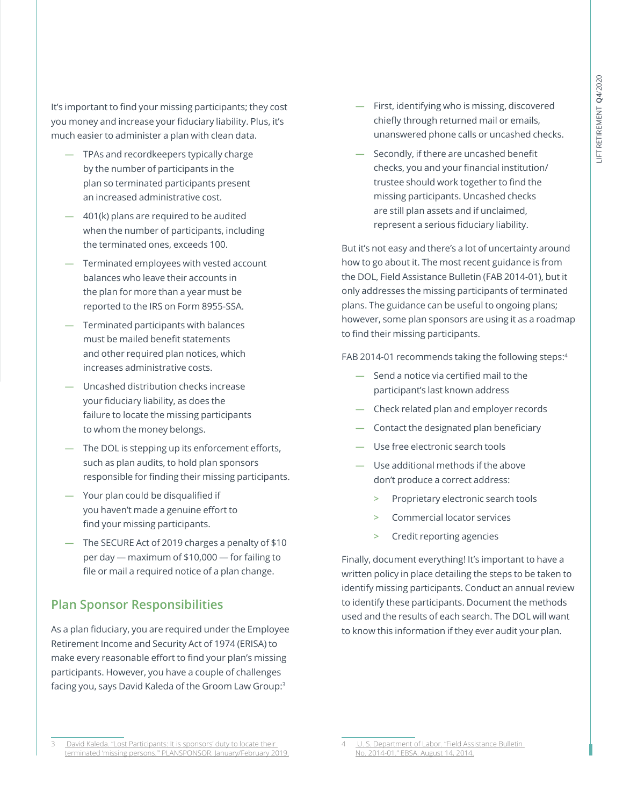It's important to find your missing participants; they cost you money and increase your fiduciary liability. Plus, it's much easier to administer a plan with clean data.

- **—** TPAs and recordkeepers typically charge by the number of participants in the plan so terminated participants present an increased administrative cost.
- **—** 401(k) plans are required to be audited when the number of participants, including the terminated ones, exceeds 100.
- **—** Terminated employees with vested account balances who leave their accounts in the plan for more than a year must be reported to the IRS on Form 8955-SSA.
- **—** Terminated participants with balances must be mailed benefit statements and other required plan notices, which increases administrative costs.
- **—** Uncashed distribution checks increase your fiduciary liability, as does the failure to locate the missing participants to whom the money belongs.
- The DOL is stepping up its enforcement efforts, such as plan audits, to hold plan sponsors responsible for finding their missing participants.
- **—** Your plan could be disqualified if you haven't made a genuine effort to find your missing participants.
- **—** The SECURE Act of 2019 charges a penalty of \$10 per day ― maximum of \$10,000 ― for failing to file or mail a required notice of a plan change.

#### **Plan Sponsor Responsibilities**

As a plan fiduciary, you are required under the Employee Retirement Income and Security Act of 1974 (ERISA) to make every reasonable effort to find your plan's missing participants. However, you have a couple of challenges facing you, says David Kaleda of the Groom Law Group:3

- **—** First, identifying who is missing, discovered chiefly through returned mail or emails, unanswered phone calls or uncashed checks.
- **—** Secondly, if there are uncashed benefit checks, you and your financial institution/ trustee should work together to find the missing participants. Uncashed checks are still plan assets and if unclaimed, represent a serious fiduciary liability.

But it's not easy and there's a lot of uncertainty around how to go about it. The most recent guidance is from the DOL, Field Assistance Bulletin (FAB 2014-01), but it only addresses the missing participants of terminated plans. The guidance can be useful to ongoing plans; however, some plan sponsors are using it as a roadmap to find their missing participants.

FAB 2014-01 recommends taking the following steps:4

- **—** Send a notice via certified mail to the participant's last known address
- **—** Check related plan and employer records
- **—** Contact the designated plan beneficiary
- **—** Use free electronic search tools
- **—** Use additional methods if the above don't produce a correct address:
	- **>** Proprietary electronic search tools
	- **>** Commercial locator services
	- **>** Credit reporting agencies

Finally, document everything! It's important to have a written policy in place detailing the steps to be taken to identify missing participants. Conduct an annual review to identify these participants. Document the methods used and the results of each search. The DOL will want to know this information if they ever audit your plan.

David Kaleda. "Lost Participants: It is sponsors' duty to locate their [terminated 'missing persons.'" PLANSPONSOR. January/February 2019.](https://www.groom.com/wp-content/uploads/2019/02/PLANADVISER-Lost-Participants.pdf)

U. S. Department of Labor. "Field Assistance Bulletin [No. 2014-01." EBSA. August 14, 2014.](https://www.dol.gov/agencies/ebsa/employers-and-advisers/guidance/field-assistance-bulletins/2014-01)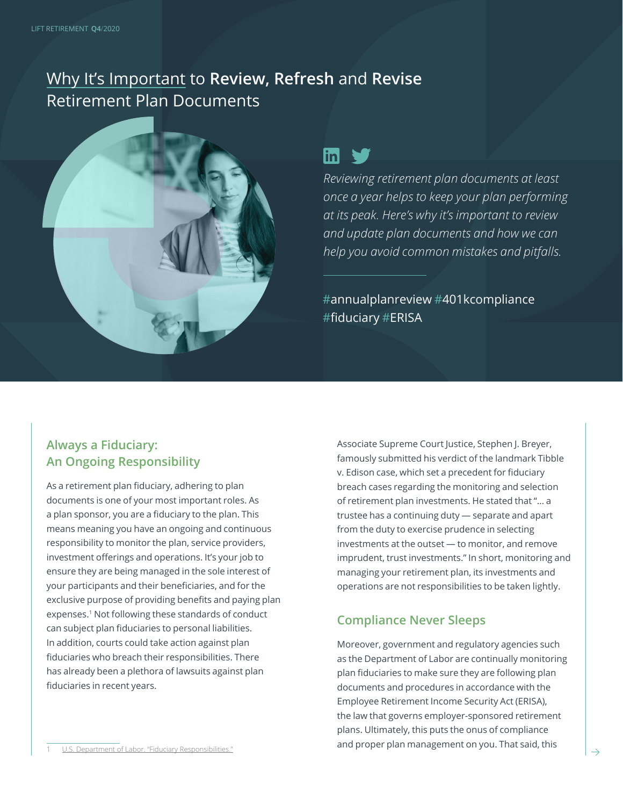# Why It's Important to **Review, Refresh** and **Revise**  Retirement Plan Documents



# $\mathsf{in}$   $\mathsf{v}$

*Reviewing retirement plan documents at least once a year helps to keep your plan performing at its peak. Here's why it's important to review and update plan documents and how we can help you avoid common mistakes and pitfalls.*

#annualplanreview #401kcompliance #fiduciary #ERISA

#### **Always a Fiduciary: An Ongoing Responsibility**

As a retirement plan fiduciary, adhering to plan documents is one of your most important roles. As a plan sponsor, you are a fiduciary to the plan. This means meaning you have an ongoing and continuous responsibility to monitor the plan, service providers, investment offerings and operations. It's your job to ensure they are being managed in the sole interest of your participants and their beneficiaries, and for the exclusive purpose of providing benefits and paying plan expenses.<sup>1</sup> Not following these standards of conduct can subject plan fiduciaries to personal liabilities. In addition, courts could take action against plan fiduciaries who breach their responsibilities. There has already been a plethora of lawsuits against plan fiduciaries in recent years.

Associate Supreme Court Justice, Stephen J. Breyer, famously submitted his verdict of the landmark Tibble v. Edison case, which set a precedent for fiduciary breach cases regarding the monitoring and selection of retirement plan investments. He stated that "… a trustee has a continuing duty — separate and apart from the duty to exercise prudence in selecting investments at the outset — to monitor, and remove imprudent, trust investments." In short, monitoring and managing your retirement plan, its investments and operations are not responsibilities to be taken lightly.

#### **Compliance Never Sleeps**

Moreover, government and regulatory agencies such as the Department of Labor are continually monitoring plan fiduciaries to make sure they are following plan documents and procedures in accordance with the Employee Retirement Income Security Act (ERISA), the law that governs employer-sponsored retirement plans. Ultimately, this puts the onus of compliance and proper plan management on you. That said, this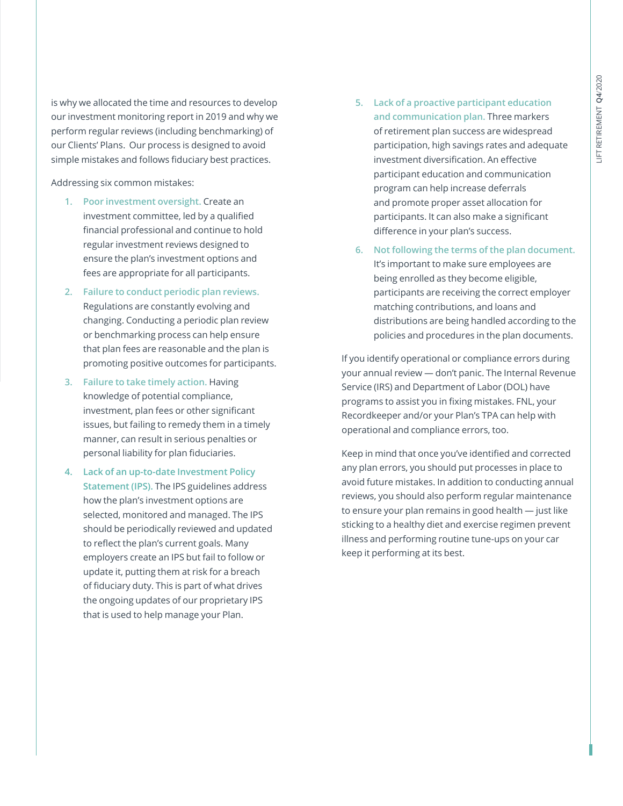is why we allocated the time and resources to develop our investment monitoring report in 2019 and why we perform regular reviews (including benchmarking) of our Clients' Plans. Our process is designed to avoid simple mistakes and follows fiduciary best practices.

Addressing six common mistakes:

- **1. Poor investment oversight.** Create an investment committee, led by a qualified financial professional and continue to hold regular investment reviews designed to ensure the plan's investment options and fees are appropriate for all participants.
- **2. Failure to conduct periodic plan reviews.** Regulations are constantly evolving and changing. Conducting a periodic plan review or benchmarking process can help ensure that plan fees are reasonable and the plan is promoting positive outcomes for participants.
- **3. Failure to take timely action.** Having knowledge of potential compliance, investment, plan fees or other significant issues, but failing to remedy them in a timely manner, can result in serious penalties or personal liability for plan fiduciaries.
- **4. Lack of an up-to-date Investment Policy Statement (IPS).** The IPS guidelines address how the plan's investment options are selected, monitored and managed. The IPS should be periodically reviewed and updated to reflect the plan's current goals. Many employers create an IPS but fail to follow or update it, putting them at risk for a breach of fiduciary duty. This is part of what drives the ongoing updates of our proprietary IPS that is used to help manage your Plan.
- **5. Lack of a proactive participant education and communication plan.** Three markers of retirement plan success are widespread participation, high savings rates and adequate investment diversification. An effective participant education and communication program can help increase deferrals and promote proper asset allocation for participants. It can also make a significant difference in your plan's success.
- **6. Not following the terms of the plan document.** It's important to make sure employees are being enrolled as they become eligible, participants are receiving the correct employer matching contributions, and loans and distributions are being handled according to the policies and procedures in the plan documents.

If you identify operational or compliance errors during your annual review — don't panic. The Internal Revenue Service (IRS) and Department of Labor (DOL) have programs to assist you in fixing mistakes. FNL, your Recordkeeper and/or your Plan's TPA can help with operational and compliance errors, too.

Keep in mind that once you've identified and corrected any plan errors, you should put processes in place to avoid future mistakes. In addition to conducting annual reviews, you should also perform regular maintenance to ensure your plan remains in good health — just like sticking to a healthy diet and exercise regimen prevent illness and performing routine tune-ups on your car keep it performing at its best.